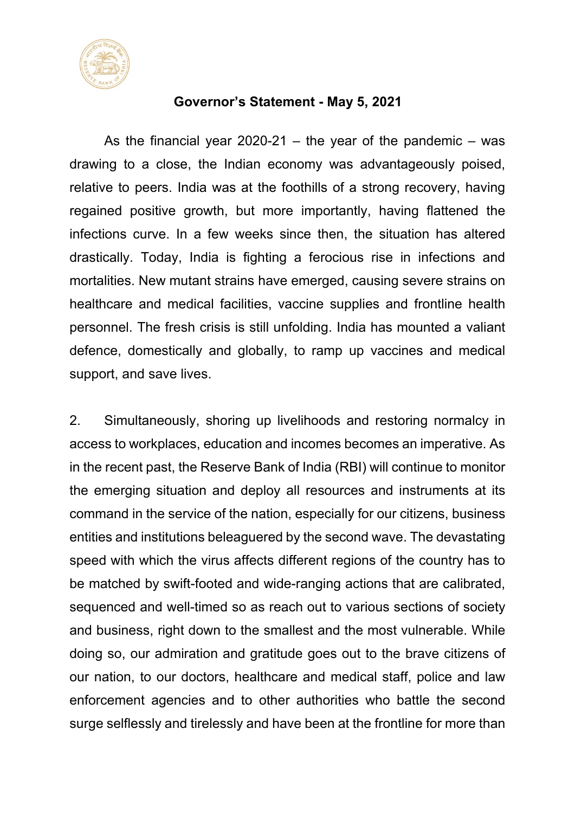

#### **Governor's Statement - May 5, 2021**

As the financial year 2020-21 – the year of the pandemic – was drawing to a close, the Indian economy was advantageously poised, relative to peers. India was at the foothills of a strong recovery, having regained positive growth, but more importantly, having flattened the infections curve. In a few weeks since then, the situation has altered drastically. Today, India is fighting a ferocious rise in infections and mortalities. New mutant strains have emerged, causing severe strains on healthcare and medical facilities, vaccine supplies and frontline health personnel. The fresh crisis is still unfolding. India has mounted a valiant defence, domestically and globally, to ramp up vaccines and medical support, and save lives.

2. Simultaneously, shoring up livelihoods and restoring normalcy in access to workplaces, education and incomes becomes an imperative. As in the recent past, the Reserve Bank of India (RBI) will continue to monitor the emerging situation and deploy all resources and instruments at its command in the service of the nation, especially for our citizens, business entities and institutions beleaguered by the second wave. The devastating speed with which the virus affects different regions of the country has to be matched by swift-footed and wide-ranging actions that are calibrated, sequenced and well-timed so as reach out to various sections of society and business, right down to the smallest and the most vulnerable. While doing so, our admiration and gratitude goes out to the brave citizens of our nation, to our doctors, healthcare and medical staff, police and law enforcement agencies and to other authorities who battle the second surge selflessly and tirelessly and have been at the frontline for more than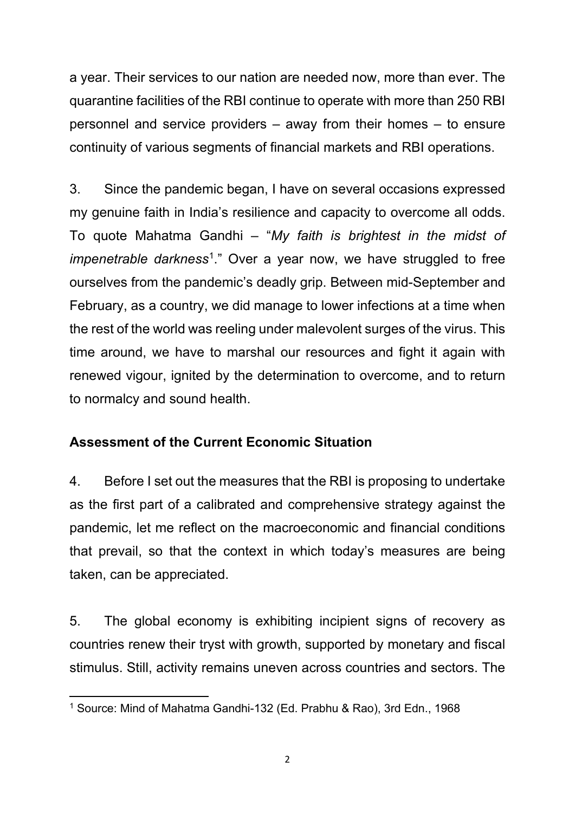a year. Their services to our nation are needed now, more than ever. The quarantine facilities of the RBI continue to operate with more than 250 RBI personnel and service providers – away from their homes – to ensure continuity of various segments of financial markets and RBI operations.

3. Since the pandemic began, I have on several occasions expressed my genuine faith in India's resilience and capacity to overcome all odds. To quote Mahatma Gandhi – "*My faith is brightest in the midst of impenetrable darkness*[1.](#page-1-0)" Over a year now, we have struggled to free ourselves from the pandemic's deadly grip. Between mid-September and February, as a country, we did manage to lower infections at a time when the rest of the world was reeling under malevolent surges of the virus. This time around, we have to marshal our resources and fight it again with renewed vigour, ignited by the determination to overcome, and to return to normalcy and sound health.

# **Assessment of the Current Economic Situation**

4. Before I set out the measures that the RBI is proposing to undertake as the first part of a calibrated and comprehensive strategy against the pandemic, let me reflect on the macroeconomic and financial conditions that prevail, so that the context in which today's measures are being taken, can be appreciated.

5. The global economy is exhibiting incipient signs of recovery as countries renew their tryst with growth, supported by monetary and fiscal stimulus. Still, activity remains uneven across countries and sectors. The

<span id="page-1-0"></span>**<sup>.</sup>** <sup>1</sup> Source: Mind of Mahatma Gandhi-132 (Ed. Prabhu & Rao), 3rd Edn., 1968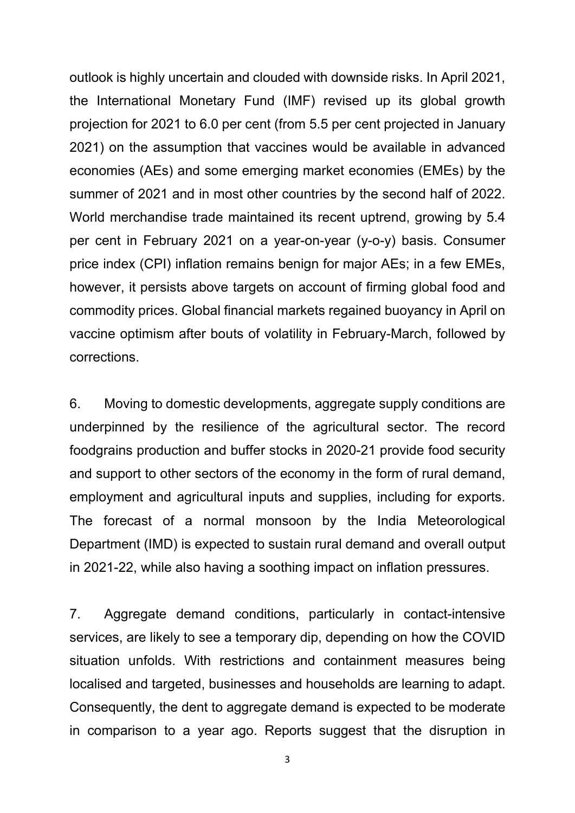outlook is highly uncertain and clouded with downside risks. In April 2021, the International Monetary Fund (IMF) revised up its global growth projection for 2021 to 6.0 per cent (from 5.5 per cent projected in January 2021) on the assumption that vaccines would be available in advanced economies (AEs) and some emerging market economies (EMEs) by the summer of 2021 and in most other countries by the second half of 2022. World merchandise trade maintained its recent uptrend, growing by 5.4 per cent in February 2021 on a year-on-year (y-o-y) basis. Consumer price index (CPI) inflation remains benign for major AEs; in a few EMEs, however, it persists above targets on account of firming global food and commodity prices. Global financial markets regained buoyancy in April on vaccine optimism after bouts of volatility in February-March, followed by corrections.

6. Moving to domestic developments, aggregate supply conditions are underpinned by the resilience of the agricultural sector. The record foodgrains production and buffer stocks in 2020-21 provide food security and support to other sectors of the economy in the form of rural demand, employment and agricultural inputs and supplies, including for exports. The forecast of a normal monsoon by the India Meteorological Department (IMD) is expected to sustain rural demand and overall output in 2021-22, while also having a soothing impact on inflation pressures.

7. Aggregate demand conditions, particularly in contact-intensive services, are likely to see a temporary dip, depending on how the COVID situation unfolds. With restrictions and containment measures being localised and targeted, businesses and households are learning to adapt. Consequently, the dent to aggregate demand is expected to be moderate in comparison to a year ago. Reports suggest that the disruption in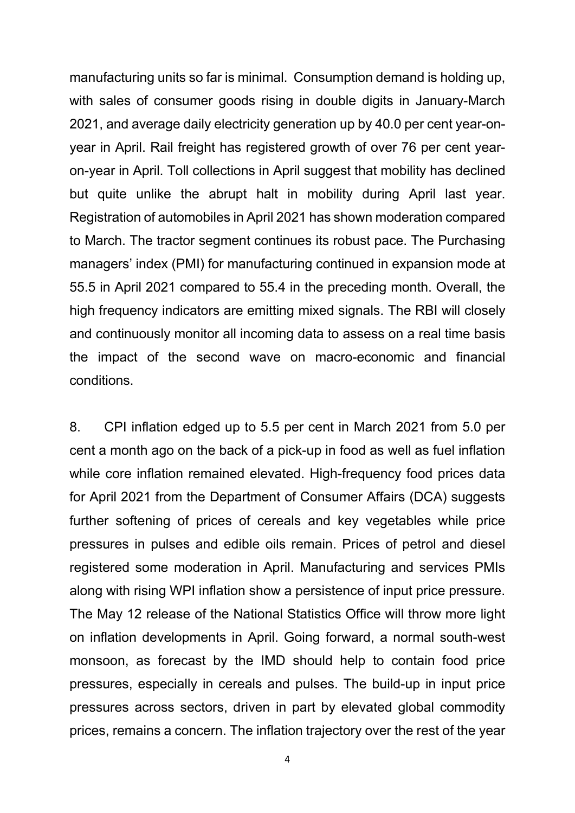manufacturing units so far is minimal. Consumption demand is holding up, with sales of consumer goods rising in double digits in January-March 2021, and average daily electricity generation up by 40.0 per cent year-onyear in April. Rail freight has registered growth of over 76 per cent yearon-year in April. Toll collections in April suggest that mobility has declined but quite unlike the abrupt halt in mobility during April last year. Registration of automobiles in April 2021 has shown moderation compared to March. The tractor segment continues its robust pace. The Purchasing managers' index (PMI) for manufacturing continued in expansion mode at 55.5 in April 2021 compared to 55.4 in the preceding month. Overall, the high frequency indicators are emitting mixed signals. The RBI will closely and continuously monitor all incoming data to assess on a real time basis the impact of the second wave on macro-economic and financial conditions.

8. CPI inflation edged up to 5.5 per cent in March 2021 from 5.0 per cent a month ago on the back of a pick-up in food as well as fuel inflation while core inflation remained elevated. High-frequency food prices data for April 2021 from the Department of Consumer Affairs (DCA) suggests further softening of prices of cereals and key vegetables while price pressures in pulses and edible oils remain. Prices of petrol and diesel registered some moderation in April. Manufacturing and services PMIs along with rising WPI inflation show a persistence of input price pressure. The May 12 release of the National Statistics Office will throw more light on inflation developments in April. Going forward, a normal south-west monsoon, as forecast by the IMD should help to contain food price pressures, especially in cereals and pulses. The build-up in input price pressures across sectors, driven in part by elevated global commodity prices, remains a concern. The inflation trajectory over the rest of the year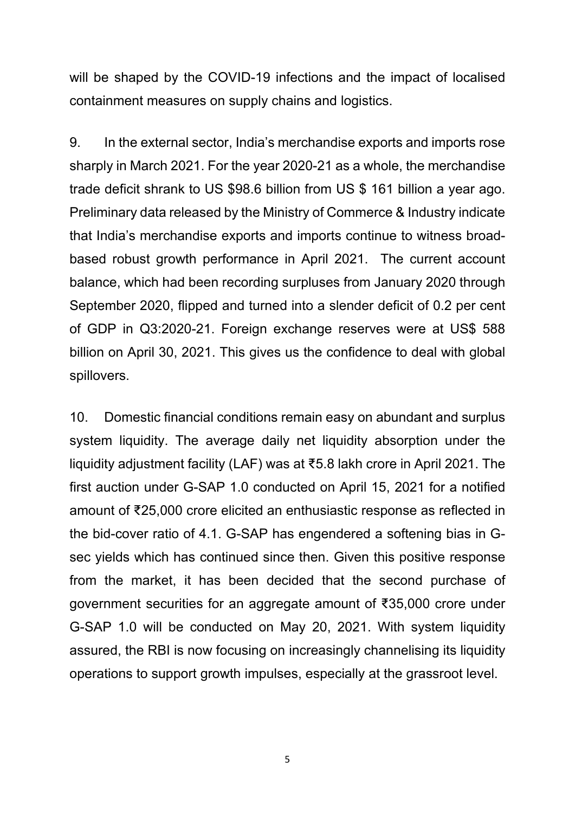will be shaped by the COVID-19 infections and the impact of localised containment measures on supply chains and logistics.

9. In the external sector, India's merchandise exports and imports rose sharply in March 2021. For the year 2020-21 as a whole, the merchandise trade deficit shrank to US \$98.6 billion from US \$ 161 billion a year ago. Preliminary data released by the Ministry of Commerce & Industry indicate that India's merchandise exports and imports continue to witness broadbased robust growth performance in April 2021. The current account balance, which had been recording surpluses from January 2020 through September 2020, flipped and turned into a slender deficit of 0.2 per cent of GDP in Q3:2020-21. Foreign exchange reserves were at US\$ 588 billion on April 30, 2021. This gives us the confidence to deal with global spillovers.

10. Domestic financial conditions remain easy on abundant and surplus system liquidity. The average daily net liquidity absorption under the liquidity adjustment facility (LAF) was at ₹5.8 lakh crore in April 2021. The first auction under G-SAP 1.0 conducted on April 15, 2021 for a notified amount of ₹25,000 crore elicited an enthusiastic response as reflected in the bid-cover ratio of 4.1. G-SAP has engendered a softening bias in Gsec yields which has continued since then. Given this positive response from the market, it has been decided that the second purchase of government securities for an aggregate amount of ₹35,000 crore under G-SAP 1.0 will be conducted on May 20, 2021. With system liquidity assured, the RBI is now focusing on increasingly channelising its liquidity operations to support growth impulses, especially at the grassroot level.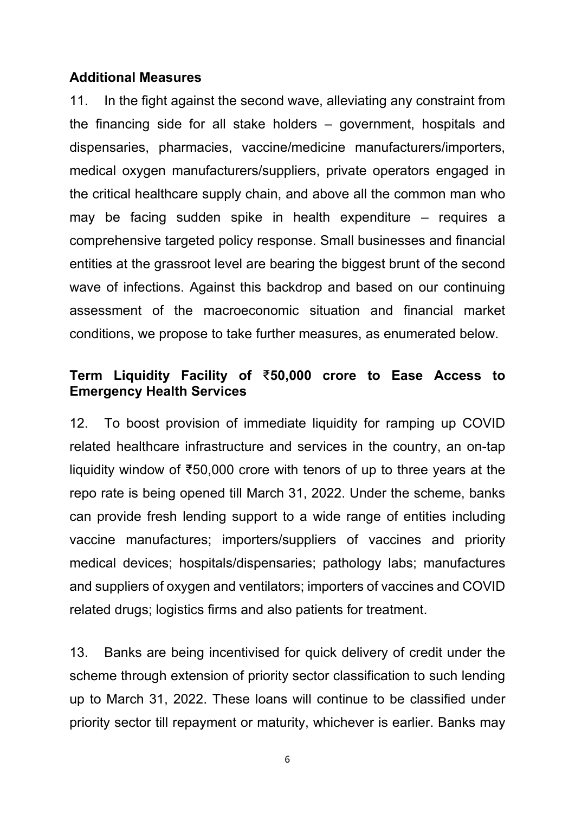#### **Additional Measures**

11. In the fight against the second wave, alleviating any constraint from the financing side for all stake holders – government, hospitals and dispensaries, pharmacies, vaccine/medicine manufacturers/importers, medical oxygen manufacturers/suppliers, private operators engaged in the critical healthcare supply chain, and above all the common man who may be facing sudden spike in health expenditure – requires a comprehensive targeted policy response. Small businesses and financial entities at the grassroot level are bearing the biggest brunt of the second wave of infections. Against this backdrop and based on our continuing assessment of the macroeconomic situation and financial market conditions, we propose to take further measures, as enumerated below.

#### **Term Liquidity Facility of** ₹**50,000 crore to Ease Access to Emergency Health Services**

12. To boost provision of immediate liquidity for ramping up COVID related healthcare infrastructure and services in the country, an on-tap liquidity window of ₹50,000 crore with tenors of up to three years at the repo rate is being opened till March 31, 2022. Under the scheme, banks can provide fresh lending support to a wide range of entities including vaccine manufactures; importers/suppliers of vaccines and priority medical devices; hospitals/dispensaries; pathology labs; manufactures and suppliers of oxygen and ventilators; importers of vaccines and COVID related drugs; logistics firms and also patients for treatment.

13. Banks are being incentivised for quick delivery of credit under the scheme through extension of priority sector classification to such lending up to March 31, 2022. These loans will continue to be classified under priority sector till repayment or maturity, whichever is earlier. Banks may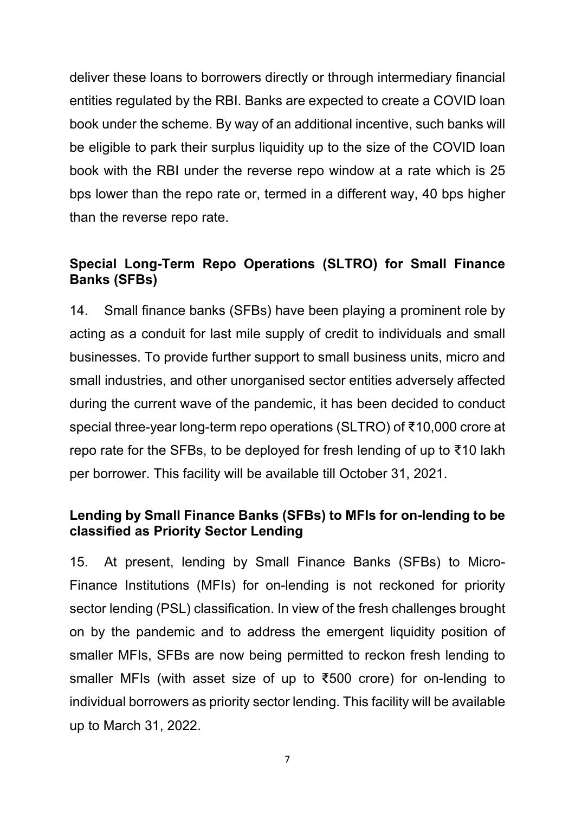deliver these loans to borrowers directly or through intermediary financial entities regulated by the RBI. Banks are expected to create a COVID loan book under the scheme. By way of an additional incentive, such banks will be eligible to park their surplus liquidity up to the size of the COVID loan book with the RBI under the reverse repo window at a rate which is 25 bps lower than the repo rate or, termed in a different way, 40 bps higher than the reverse repo rate.

# **Special Long-Term Repo Operations (SLTRO) for Small Finance Banks (SFBs)**

14. Small finance banks (SFBs) have been playing a prominent role by acting as a conduit for last mile supply of credit to individuals and small businesses. To provide further support to small business units, micro and small industries, and other unorganised sector entities adversely affected during the current wave of the pandemic, it has been decided to conduct special three-year long-term repo operations (SLTRO) of ₹10,000 crore at repo rate for the SFBs, to be deployed for fresh lending of up to ₹10 lakh per borrower. This facility will be available till October 31, 2021.

### **Lending by Small Finance Banks (SFBs) to MFIs for on-lending to be classified as Priority Sector Lending**

15. At present, lending by Small Finance Banks (SFBs) to Micro-Finance Institutions (MFIs) for on-lending is not reckoned for priority sector lending (PSL) classification. In view of the fresh challenges brought on by the pandemic and to address the emergent liquidity position of smaller MFIs, SFBs are now being permitted to reckon fresh lending to smaller MFIs (with asset size of up to ₹500 crore) for on-lending to individual borrowers as priority sector lending. This facility will be available up to March 31, 2022.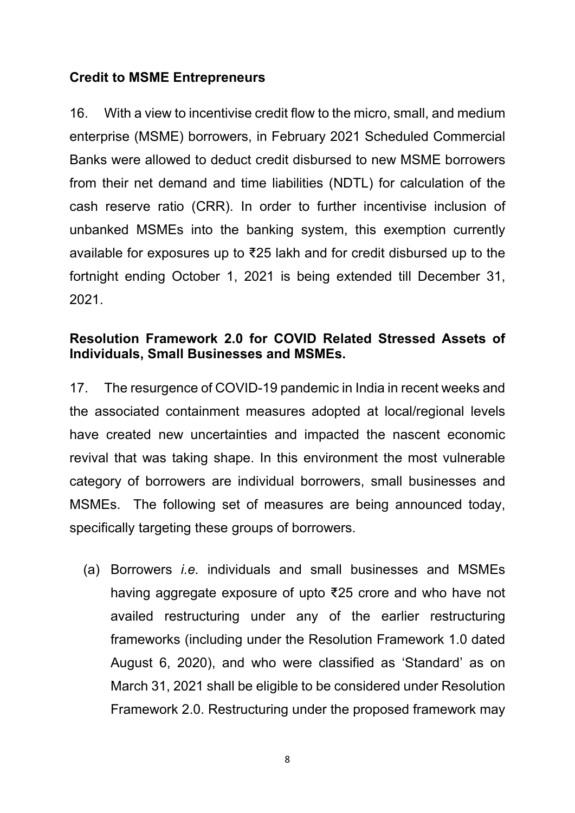### **Credit to MSME Entrepreneurs**

16. With a view to incentivise credit flow to the micro, small, and medium enterprise (MSME) borrowers, in February 2021 Scheduled Commercial Banks were allowed to deduct credit disbursed to new MSME borrowers from their net demand and time liabilities (NDTL) for calculation of the cash reserve ratio (CRR). In order to further incentivise inclusion of unbanked MSMEs into the banking system, this exemption currently available for exposures up to ₹25 lakh and for credit disbursed up to the fortnight ending October 1, 2021 is being extended till December 31, 2021.

### **Resolution Framework 2.0 for COVID Related Stressed Assets of Individuals, Small Businesses and MSMEs.**

17. The resurgence of COVID-19 pandemic in India in recent weeks and the associated containment measures adopted at local/regional levels have created new uncertainties and impacted the nascent economic revival that was taking shape. In this environment the most vulnerable category of borrowers are individual borrowers, small businesses and MSMEs. The following set of measures are being announced today, specifically targeting these groups of borrowers.

(a) Borrowers *i.e.* individuals and small businesses and MSMEs having aggregate exposure of upto ₹25 crore and who have not availed restructuring under any of the earlier restructuring frameworks (including under the Resolution Framework 1.0 dated August 6, 2020), and who were classified as 'Standard' as on March 31, 2021 shall be eligible to be considered under Resolution Framework 2.0. Restructuring under the proposed framework may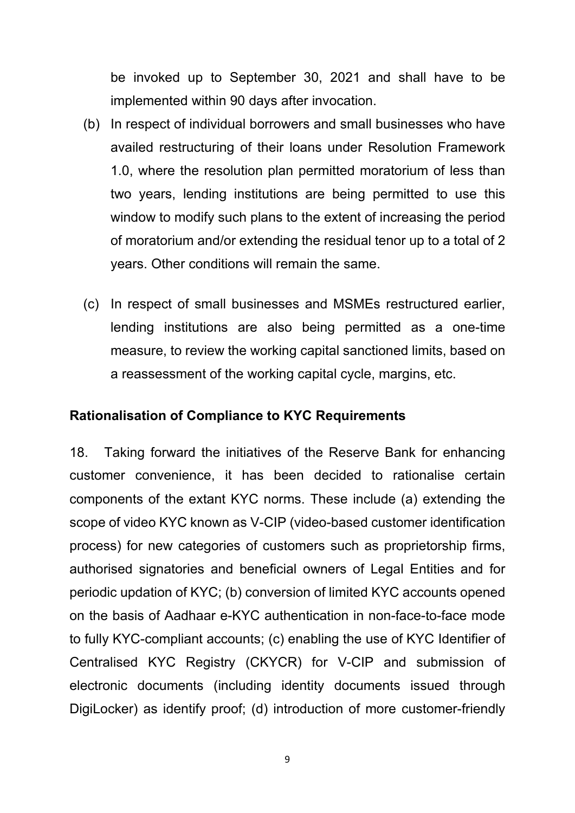be invoked up to September 30, 2021 and shall have to be implemented within 90 days after invocation.

- (b) In respect of individual borrowers and small businesses who have availed restructuring of their loans under Resolution Framework 1.0, where the resolution plan permitted moratorium of less than two years, lending institutions are being permitted to use this window to modify such plans to the extent of increasing the period of moratorium and/or extending the residual tenor up to a total of 2 years. Other conditions will remain the same.
- (c) In respect of small businesses and MSMEs restructured earlier, lending institutions are also being permitted as a one-time measure, to review the working capital sanctioned limits, based on a reassessment of the working capital cycle, margins, etc.

#### **Rationalisation of Compliance to KYC Requirements**

18. Taking forward the initiatives of the Reserve Bank for enhancing customer convenience, it has been decided to rationalise certain components of the extant KYC norms. These include (a) extending the scope of video KYC known as V-CIP (video-based customer identification process) for new categories of customers such as proprietorship firms, authorised signatories and beneficial owners of Legal Entities and for periodic updation of KYC; (b) conversion of limited KYC accounts opened on the basis of Aadhaar e-KYC authentication in non-face-to-face mode to fully KYC-compliant accounts; (c) enabling the use of KYC Identifier of Centralised KYC Registry (CKYCR) for V-CIP and submission of electronic documents (including identity documents issued through DigiLocker) as identify proof; (d) introduction of more customer-friendly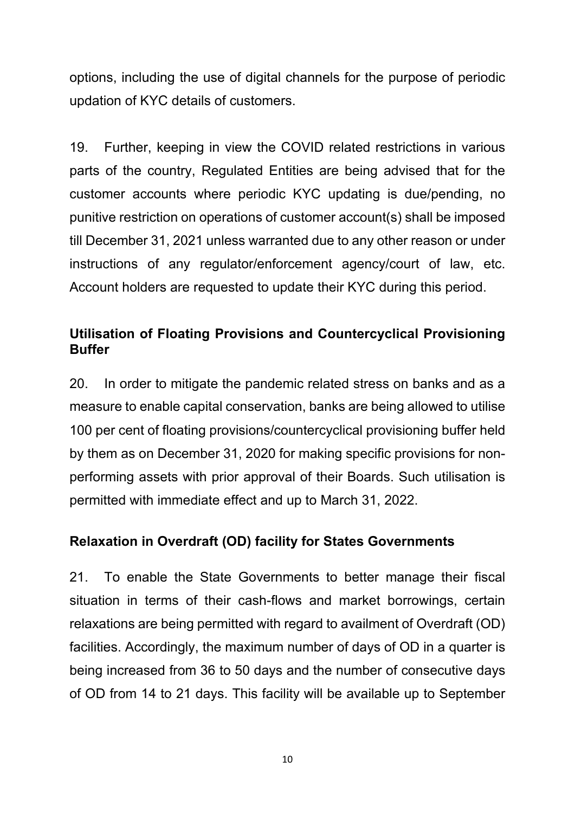options, including the use of digital channels for the purpose of periodic updation of KYC details of customers.

19. Further, keeping in view the COVID related restrictions in various parts of the country, Regulated Entities are being advised that for the customer accounts where periodic KYC updating is due/pending, no punitive restriction on operations of customer account(s) shall be imposed till December 31, 2021 unless warranted due to any other reason or under instructions of any regulator/enforcement agency/court of law, etc. Account holders are requested to update their KYC during this period.

## **Utilisation of Floating Provisions and Countercyclical Provisioning Buffer**

20. In order to mitigate the pandemic related stress on banks and as a measure to enable capital conservation, banks are being allowed to utilise 100 per cent of floating provisions/countercyclical provisioning buffer held by them as on December 31, 2020 for making specific provisions for nonperforming assets with prior approval of their Boards. Such utilisation is permitted with immediate effect and up to March 31, 2022.

# **Relaxation in Overdraft (OD) facility for States Governments**

21. To enable the State Governments to better manage their fiscal situation in terms of their cash-flows and market borrowings, certain relaxations are being permitted with regard to availment of Overdraft (OD) facilities. Accordingly, the maximum number of days of OD in a quarter is being increased from 36 to 50 days and the number of consecutive days of OD from 14 to 21 days. This facility will be available up to September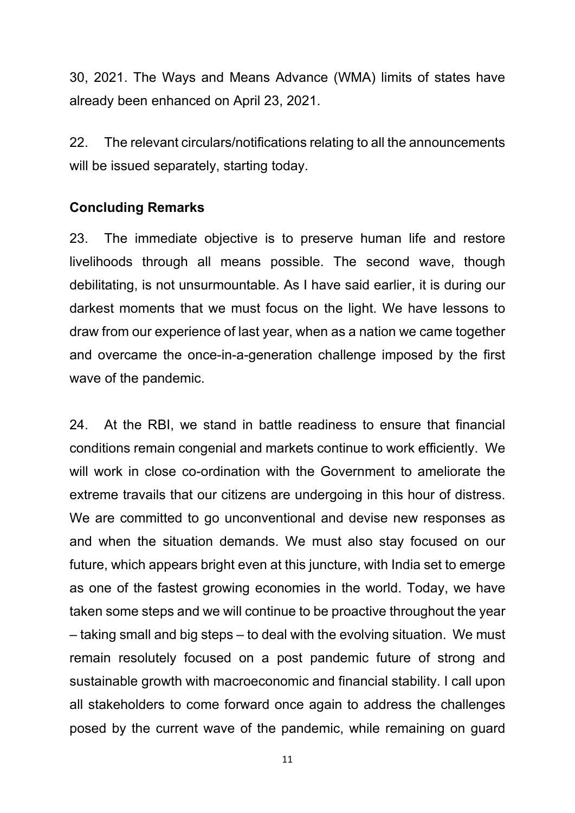30, 2021. The Ways and Means Advance (WMA) limits of states have already been enhanced on April 23, 2021.

22. The relevant circulars/notifications relating to all the announcements will be issued separately, starting today.

#### **Concluding Remarks**

23. The immediate objective is to preserve human life and restore livelihoods through all means possible. The second wave, though debilitating, is not unsurmountable. As I have said earlier, it is during our darkest moments that we must focus on the light. We have lessons to draw from our experience of last year, when as a nation we came together and overcame the once-in-a-generation challenge imposed by the first wave of the pandemic.

24. At the RBI, we stand in battle readiness to ensure that financial conditions remain congenial and markets continue to work efficiently. We will work in close co-ordination with the Government to ameliorate the extreme travails that our citizens are undergoing in this hour of distress. We are committed to go unconventional and devise new responses as and when the situation demands. We must also stay focused on our future, which appears bright even at this juncture, with India set to emerge as one of the fastest growing economies in the world. Today, we have taken some steps and we will continue to be proactive throughout the year – taking small and big steps – to deal with the evolving situation. We must remain resolutely focused on a post pandemic future of strong and sustainable growth with macroeconomic and financial stability. I call upon all stakeholders to come forward once again to address the challenges posed by the current wave of the pandemic, while remaining on guard